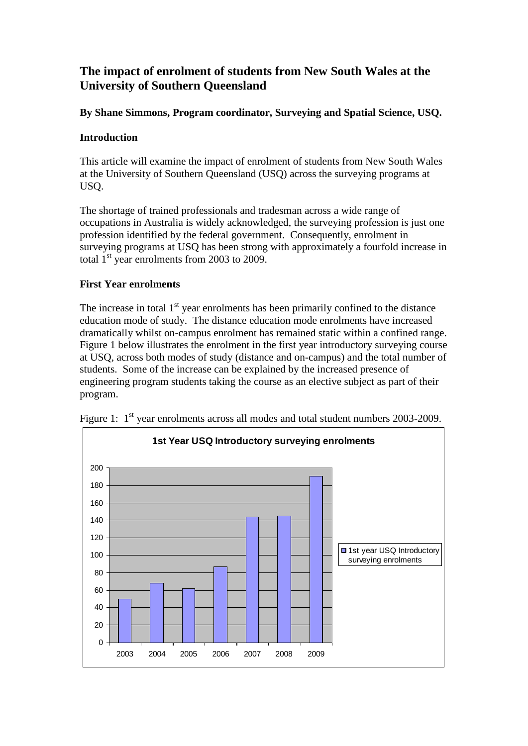# **The impact of enrolment of students from New South Wales at the University of Southern Queensland**

## **By Shane Simmons, Program coordinator, Surveying and Spatial Science, USQ.**

### **Introduction**

This article will examine the impact of enrolment of students from New South Wales at the University of Southern Queensland (USQ) across the surveying programs at USQ.

The shortage of trained professionals and tradesman across a wide range of occupations in Australia is widely acknowledged, the surveying profession is just one profession identified by the federal government. Consequently, enrolment in surveying programs at USQ has been strong with approximately a fourfold increase in total  $1<sup>st</sup>$  year enrolments from 2003 to 2009.

#### **First Year enrolments**

The increase in total  $1<sup>st</sup>$  year enrolments has been primarily confined to the distance education mode of study. The distance education mode enrolments have increased dramatically whilst on-campus enrolment has remained static within a confined range. Figure 1 below illustrates the enrolment in the first year introductory surveying course at USQ, across both modes of study (distance and on-campus) and the total number of students. Some of the increase can be explained by the increased presence of engineering program students taking the course as an elective subject as part of their program.



Figure 1: 1<sup>st</sup> year enrolments across all modes and total student numbers 2003-2009.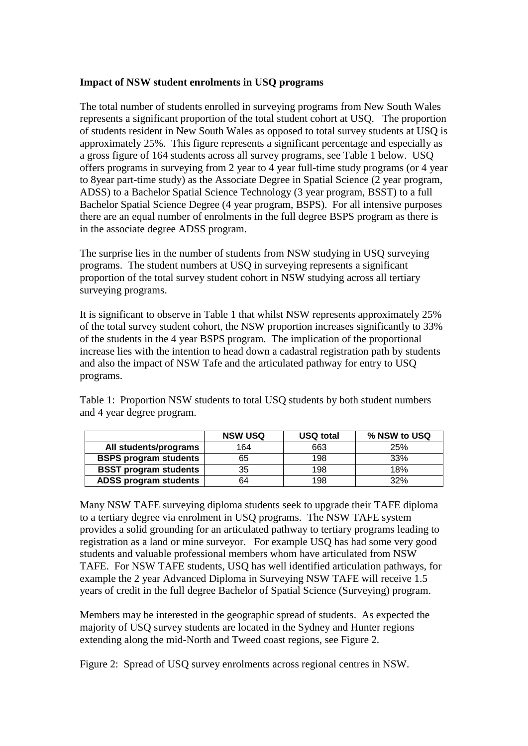#### **Impact of NSW student enrolments in USQ programs**

The total number of students enrolled in surveying programs from New South Wales represents a significant proportion of the total student cohort at USQ. The proportion of students resident in New South Wales as opposed to total survey students at USQ is approximately 25%. This figure represents a significant percentage and especially as a gross figure of 164 students across all survey programs, see Table 1 below. USQ offers programs in surveying from 2 year to 4 year full-time study programs (or 4 year to 8year part-time study) as the Associate Degree in Spatial Science (2 year program, ADSS) to a Bachelor Spatial Science Technology (3 year program, BSST) to a full Bachelor Spatial Science Degree (4 year program, BSPS). For all intensive purposes there are an equal number of enrolments in the full degree BSPS program as there is in the associate degree ADSS program.

The surprise lies in the number of students from NSW studying in USQ surveying programs. The student numbers at USQ in surveying represents a significant proportion of the total survey student cohort in NSW studying across all tertiary surveying programs.

It is significant to observe in Table 1 that whilst NSW represents approximately 25% of the total survey student cohort, the NSW proportion increases significantly to 33% of the students in the 4 year BSPS program. The implication of the proportional increase lies with the intention to head down a cadastral registration path by students and also the impact of NSW Tafe and the articulated pathway for entry to USQ programs.

Table 1: Proportion NSW students to total USQ students by both student numbers and 4 year degree program.

|                              | <b>NSW USQ</b> | <b>USQ total</b> | % NSW to USQ |
|------------------------------|----------------|------------------|--------------|
| All students/programs        | 164            | 663              | 25%          |
| <b>BSPS program students</b> | 65             | 198              | 33%          |
| <b>BSST program students</b> | 35             | 198              | 18%          |
| <b>ADSS program students</b> | 64             | 198              | 32%          |

Many NSW TAFE surveying diploma students seek to upgrade their TAFE diploma to a tertiary degree via enrolment in USQ programs. The NSW TAFE system provides a solid grounding for an articulated pathway to tertiary programs leading to registration as a land or mine surveyor. For example USQ has had some very good students and valuable professional members whom have articulated from NSW TAFE. For NSW TAFE students, USQ has well identified articulation pathways, for example the 2 year Advanced Diploma in Surveying NSW TAFE will receive 1.5 years of credit in the full degree Bachelor of Spatial Science (Surveying) program.

Members may be interested in the geographic spread of students. As expected the majority of USQ survey students are located in the Sydney and Hunter regions extending along the mid-North and Tweed coast regions, see Figure 2.

Figure 2: Spread of USQ survey enrolments across regional centres in NSW.